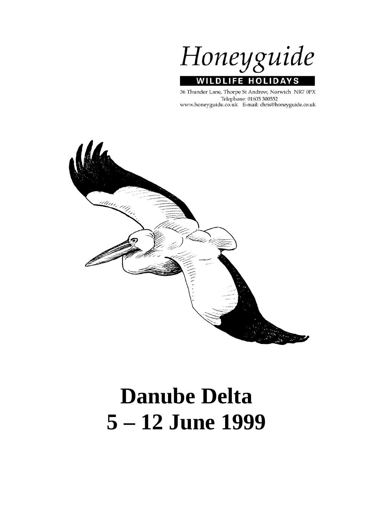Honeyguide **WILDLIFE HOLIDA** 'S

36 Thunder Lane, Thorpe St Andrew, Norwich NR7 0PX Telephone: 01603 300552 www.honeyguide.co.uk E-mail: chris@honeyguide.co.uk



# **Danube Delta 5 – 12 June 1999**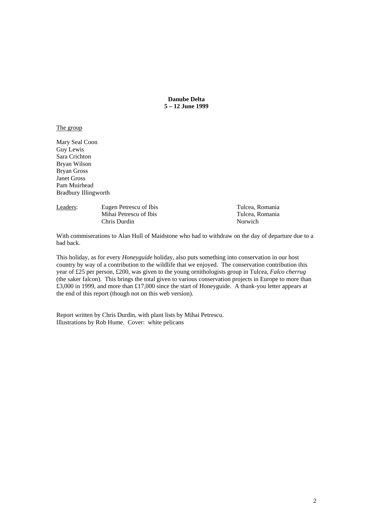**Danube Delta 5 – 12 June 1999** 

# The group

Mary Seal Coon Guy Lewis Sara Crichton Bryan Wilson Bryan Gross Janet Gross Pam Muirhead Bradbury Illingworth

| Leaders: | Eugen Petrescu of Ibis<br>Mihai Petrescu of Ibis<br>Chris Durdin | Tulcea, Romania<br>Tulcea. Romania<br>Norwich |
|----------|------------------------------------------------------------------|-----------------------------------------------|
|          |                                                                  |                                               |

With commiserations to Alan Hull of Maidstone who had to withdraw on the day of departure due to a bad back.

This holiday, as for every *Honeyguide* holiday, also puts something into conservation in our host country by way of a contribution to the wildlife that we enjoyed. The conservation contribution this year of £25 per person, £200, was given to the young ornithologists group in Tulcea, *Falco cherrug* (the saker falcon). This brings the total given to various conservation projects in Europe to more than £3,000 in 1999, and more than £17,000 since the start of Honeyguide. A thank-you letter appears at the end of this report (though not on this web version).

Report written by Chris Durdin, with plant lists by Mihai Petrescu. Illustrations by Rob Hume. Cover: white pelicans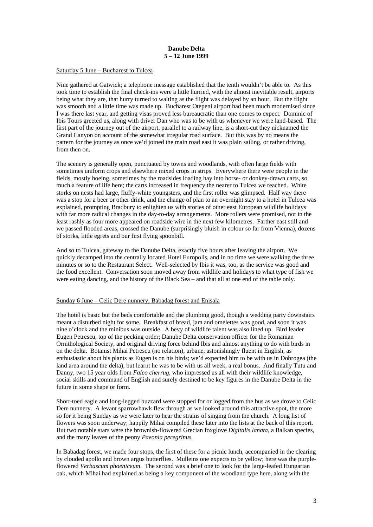## **Danube Delta 5 – 12 June 1999**

#### Saturday 5 June – Bucharest to Tulcea

Nine gathered at Gatwick; a telephone message established that the tenth wouldn't be able to. As this took time to establish the final check-ins were a little hurried, with the almost inevitable result, airports being what they are, that hurry turned to waiting as the flight was delayed by an hour. But the flight was smooth and a little time was made up. Bucharest Otepeni airport had been much modernised since I was there last year, and getting visas proved less bureaucratic than one comes to expect. Dominic of Ibis Tours greeted us, along with driver Dan who was to be with us whenever we were land-based. The first part of the journey out of the airport, parallel to a railway line, is a short-cut they nicknamed the Grand Canyon on account of the somewhat irregular road surface. But this was by no means the pattern for the journey as once we'd joined the main road east it was plain sailing, or rather driving, from then on.

The scenery is generally open, punctuated by towns and woodlands, with often large fields with sometimes uniform crops and elsewhere mixed crops in strips. Everywhere there were people in the fields, mostly hoeing, sometimes by the roadsides loading hay into horse- or donkey-drawn carts, so much a feature of life here; the carts increased in frequency the nearer to Tulcea we reached. White storks on nests had large, fluffy-white youngsters, and the first roller was glimpsed. Half way there was a stop for a beer or other drink, and the change of plan to an overnight stay to a hotel in Tulcea was explained, prompting Bradbury to enlighten us with stories of other east European wildlife holidays with far more radical changes in the day-to-day arrangements. More rollers were promised, not in the least rashly as four more appeared on roadside wire in the next few kilometres. Farther east still and we passed flooded areas, crossed the Danube (surprisingly bluish in colour so far from Vienna), dozens of storks, little egrets and our first flying spoonbill.

And so to Tulcea, gateway to the Danube Delta, exactly five hours after leaving the airport. We quickly decamped into the centrally located Hotel Europolis, and in no time we were walking the three minutes or so to the Restaurant Select. Well-selected by Ibis it was, too, as the service was good and the food excellent. Conversation soon moved away from wildlife and holidays to what type of fish we were eating dancing, and the history of the Black Sea – and that all at one end of the table only.

#### Sunday 6 June – Celic Dere nunnery, Babadag forest and Enisala

The hotel is basic but the beds comfortable and the plumbing good, though a wedding party downstairs meant a disturbed night for some. Breakfast of bread, jam and omelettes was good, and soon it was nine o'clock and the minibus was outside. A bevy of wildlife talent was also lined up. Bird leader Eugen Petrescu, top of the pecking order; Danube Delta conservation officer for the Romanian Ornithological Society, and original driving force behind Ibis and almost anything to do with birds in on the delta. Botanist Mihai Petrescu (no relation), urbane, astonishingly fluent in English, as enthusiastic about his plants as Eugen is on his birds; we'd expected him to be with us in Dobrogea (the land area around the delta), but learnt he was to be with us all week, a real bonus. And finally Tutu and Danny, two 15 year olds from *Falco cherrug*, who impressed us all with their wildlife knowledge, social skills and command of English and surely destined to be key figures in the Danube Delta in the future in some shape or form.

Short-toed eagle and long-legged buzzard were stopped for or logged from the bus as we drove to Celic Dere nunnery. A levant sparrowhawk flew through as we looked around this attractive spot, the more so for it being Sunday as we were later to hear the strains of singing from the church. A long list of flowers was soon underway; happily Mihai compiled these later into the lists at the back of this report. But two notable stars were the brownish-flowered Grecian foxglove *Digitalis lanata*, a Balkan species, and the many leaves of the peony *Paeonia peregrinus.*

In Babadag forest, we made four stops, the first of these for a picnic lunch, accompanied in the clearing by clouded apollo and brown argus butterflies. Mulleins one expects to be yellow; here was the purpleflowered *Verbascum phoeniceum*. The second was a brief one to look for the large-leafed Hungarian oak, which Mihai had explained as being a key component of the woodland type here, along with the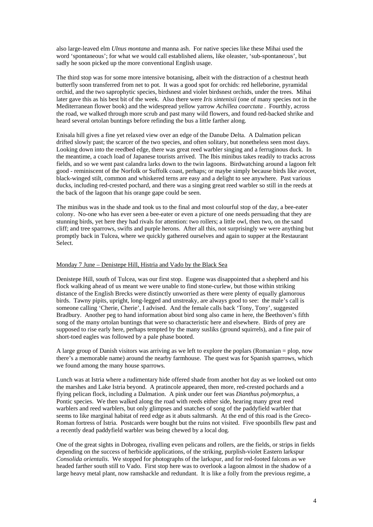also large-leaved elm *Ulnus montana* and manna ash. For native species like these Mihai used the word 'spontaneous'; for what we would call established aliens, like oleaster, 'sub-spontaneous', but sadly he soon picked up the more conventional English usage.

The third stop was for some more intensive botanising, albeit with the distraction of a chestnut heath butterfly soon transferred from net to pot. It was a good spot for orchids: red helleborine, pyramidal orchid, and the two saprophytic species, birdsnest and violet birdsnest orchids, under the trees. Mihai later gave this as his best bit of the week. Also there were *Iris sintenisii* (one of many species not in the Mediterranean flower book) and the widespread yellow yarrow *Achillea coarctata* . Fourthly, across the road, we walked through more scrub and past many wild flowers, and found red-backed shrike and heard several ortolan buntings before refinding the bus a little farther along.

Enisala hill gives a fine yet relaxed view over an edge of the Danube Delta. A Dalmation pelican drifted slowly past; the scarcer of the two species, and often solitary, but nonetheless seen most days. Looking down into the reedbed edge, there was great reed warbler singing and a ferruginous duck. In the meantime, a coach load of Japanese tourists arrived. The Ibis minibus takes readily to tracks across fields, and so we went past calandra larks down to the twin lagoons. Birdwatching around a lagoon felt good - reminiscent of the Norfolk or Suffolk coast, perhaps; or maybe simply because birds like avocet, black-winged stilt, common and whiskered terns are easy and a delight to see anywhere. Past various ducks, including red-crested pochard, and there was a singing great reed warbler so still in the reeds at the back of the lagoon that his orange gape could be seen.

The minibus was in the shade and took us to the final and most colourful stop of the day, a bee-eater colony. No-one who has ever seen a bee-eater or even a picture of one needs persuading that they are stunning birds, yet here they had rivals for attention: two rollers; a little owl, then two, on the sand cliff; and tree sparrows, swifts and purple herons. After all this, not surprisingly we were anything but promptly back in Tulcea, where we quickly gathered ourselves and again to supper at the Restaurant Select.

## Monday 7 June – Denistepe Hill, Histria and Vado by the Black Sea

Denistepe Hill, south of Tulcea, was our first stop. Eugene was disappointed that a shepherd and his flock walking ahead of us meant we were unable to find stone-curlew, but those within striking distance of the English Brecks were distinctly unworried as there were plenty of equally glamorous birds. Tawny pipits, upright, long-legged and unstreaky, are always good to see: the male's call is someone calling 'Cherie, Cherie', I advised. And the female calls back 'Tony, Tony', suggested Bradbury. Another peg to hand information about bird song also came in here, the Beethoven's fifth song of the many ortolan buntings that were so characteristic here and elsewhere. Birds of prey are supposed to rise early here, perhaps tempted by the many susliks (ground squirrels), and a fine pair of short-toed eagles was followed by a pale phase booted.

A large group of Danish visitors was arriving as we left to explore the poplars (Romanian = plop, now there's a memorable name) around the nearby farmhouse. The quest was for Spanish sparrows, which we found among the many house sparrows.

Lunch was at Istria where a rudimentary hide offered shade from another hot day as we looked out onto the marshes and Lake Istria beyond. A pratincole appeared, then more, red-crested pochards and a flying pelican flock, including a Dalmation. A pink under our feet was *Dianthus polymorphus*, a Pontic species. We then walked along the road with reeds either side, hearing many great reed warblers and reed warblers, but only glimpses and snatches of song of the paddyfield warbler that seems to like marginal habitat of reed edge as it abuts saltmarsh. At the end of this road is the Greco-Roman fortress of Istria. Postcards were bought but the ruins not visited. Five spoonbills flew past and a recently dead paddyfield warbler was being chewed by a local dog.

One of the great sights in Dobrogea, rivalling even pelicans and rollers, are the fields, or strips in fields depending on the success of herbicide applications, of the striking, purplish-violet Eastern larkspur *Consolida orientalis*. We stopped for photographs of the larkspur, and for red-footed falcons as we headed farther south still to Vado. First stop here was to overlook a lagoon almost in the shadow of a large heavy metal plant, now ramshackle and redundant. It is like a folly from the previous regime, a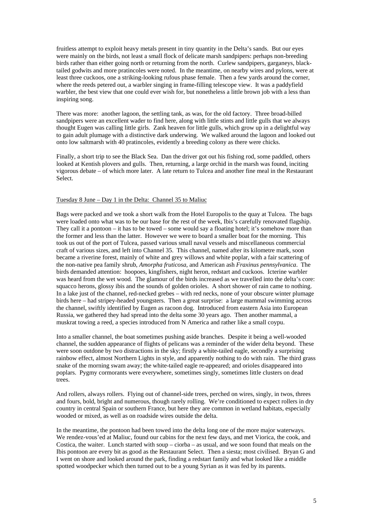fruitless attempt to exploit heavy metals present in tiny quantity in the Delta's sands. But our eyes were mainly on the birds, not least a small flock of delicate marsh sandpipers: perhaps non-breeding birds rather than either going north or returning from the north. Curlew sandpipers, garganeys, blacktailed godwits and more pratincoles were noted. In the meantime, on nearby wires and pylons, were at least three cuckoos, one a striking-looking rufous phase female. Then a few yards around the corner, where the reeds petered out, a warbler singing in frame-filling telescope view. It was a paddyfield warbler, the best view that one could ever wish for, but nonetheless a little brown job with a less than inspiring song.

There was more: another lagoon, the settling tank, as was, for the old factory. Three broad-billed sandpipers were an excellent wader to find here, along with little stints and little gulls that we always thought Eugen was calling little girls. Zank heaven for little gulls, which grow up in a delightful way to gain adult plumage with a distinctive dark underwing. We walked around the lagoon and looked out onto low saltmarsh with 40 pratincoles, evidently a breeding colony as there were chicks.

Finally, a short trip to see the Black Sea. Dan the driver got out his fishing rod, some paddled, others looked at Kentish plovers and gulls. Then, returning, a large orchid in the marsh was found, inciting vigorous debate – of which more later. A late return to Tulcea and another fine meal in the Restaurant Select.

#### Tuesday 8 June – Day 1 in the Delta: Channel 35 to Maliuc

Bags were packed and we took a short walk from the Hotel Europolis to the quay at Tulcea. The bags were loaded onto what was to be our base for the rest of the week, Ibis's carefully renovated flagship. They call it a pontoon – it has to be towed – some would say a floating hotel; it's somehow more than the former and less than the latter. However we were to board a smaller boat for the morning. This took us out of the port of Tulcea, passed various small naval vessels and miscellaneous commercial craft of various sizes, and left into Channel 35. This channel, named after its kilometre mark, soon became a riverine forest, mainly of white and grey willows and white poplar, with a fair scattering of the non-native pea family shrub, *Amorpha fruticosa*, and American ash *Fraxinus pennsylvanica*. The birds demanded attention: hoopoes, kingfishers, night heron, redstart and cuckoos. Icterine warbler was heard from the wet wood. The glamour of the birds increased as we travelled into the delta's core: squacco herons, glossy ibis and the sounds of golden orioles. A short shower of rain came to nothing. In a lake just of the channel, red-necked grebes – with red necks, none of your obscure winter plumage birds here – had stripey-headed youngsters. Then a great surprise: a large mammal swimming across the channel, swiftly identified by Eugen as racoon dog. Introduced from eastern Asia into European Russia, we gathered they had spread into the delta some 30 years ago. Then another mammal, a muskrat towing a reed, a species introduced from N America and rather like a small coypu.

Into a smaller channel, the boat sometimes pushing aside branches. Despite it being a well-wooded channel, the sudden appearance of flights of pelicans was a reminder of the wider delta beyond. These were soon outdone by two distractions in the sky; firstly a white-tailed eagle, secondly a surprising rainbow effect, almost Northern Lights in style, and apparently nothing to do with rain. The third grass snake of the morning swam away; the white-tailed eagle re-appeared; and orioles disappeared into poplars. Pygmy cormorants were everywhere, sometimes singly, sometimes little clusters on dead trees.

And rollers, always rollers. Flying out of channel-side trees, perched on wires, singly, in twos, threes and fours, bold, bright and numerous, though rarely rolling. We're conditioned to expect rollers in dry country in central Spain or southern France, but here they are common in wetland habitats, especially wooded or mixed, as well as on roadside wires outside the delta.

In the meantime, the pontoon had been towed into the delta long one of the more major waterways. We rendez-vous'ed at Maliuc, found our cabins for the next few days, and met Viorica, the cook, and Costica, the waiter. Lunch started with soup – ciorba – as usual, and we soon found that meals on the Ibis pontoon are every bit as good as the Restaurant Select. Then a siesta; most civilised. Bryan G and I went on shore and looked around the park, finding a redstart family and what looked like a middle spotted woodpecker which then turned out to be a young Syrian as it was fed by its parents.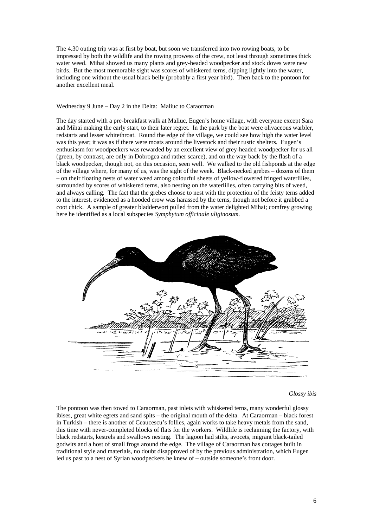The 4.30 outing trip was at first by boat, but soon we transferred into two rowing boats, to be impressed by both the wildlife and the rowing prowess of the crew, not least through sometimes thick water weed. Mihai showed us many plants and grey-headed woodpecker and stock doves were new birds. But the most memorable sight was scores of whiskered terns, dipping lightly into the water, including one without the usual black belly (probably a first year bird). Then back to the pontoon for another excellent meal.

#### Wednesday 9 June – Day 2 in the Delta: Maliuc to Caraorman

The day started with a pre-breakfast walk at Maliuc, Eugen's home village, with everyone except Sara and Mihai making the early start, to their later regret. In the park by the boat were olivaceous warbler, redstarts and lesser whitethroat. Round the edge of the village, we could see how high the water level was this year; it was as if there were moats around the livestock and their rustic shelters. Eugen's enthusiasm for woodpeckers was rewarded by an excellent view of grey-headed woodpecker for us all (green, by contrast, are only in Dobrogea and rather scarce), and on the way back by the flash of a black woodpecker, though not, on this occasion, seen well. We walked to the old fishponds at the edge of the village where, for many of us, was the sight of the week. Black-necked grebes – dozens of them – on their floating nests of water weed among colourful sheets of yellow-flowered fringed waterlilies, surrounded by scores of whiskered terns, also nesting on the waterlilies, often carrying bits of weed, and always calling. The fact that the grebes choose to nest with the protection of the feisty terns added to the interest, evidenced as a hooded crow was harassed by the terns, though not before it grabbed a coot chick. A sample of greater bladderwort pulled from the water delighted Mihai; comfrey growing here he identified as a local subspecies *Symphytum officinale uliginosum.* 



*Glossy ibis* 

The pontoon was then towed to Caraorman, past inlets with whiskered terns, many wonderful glossy ibises, great white egrets and sand spits – the original mouth of the delta. At Caraorman – black forest in Turkish – there is another of Ceaucescu's follies, again works to take heavy metals from the sand, this time with never-completed blocks of flats for the workers. Wildlife is reclaiming the factory, with black redstarts, kestrels and swallows nesting. The lagoon had stilts, avocets, migrant black-tailed godwits and a host of small frogs around the edge. The village of Caraorman has cottages built in traditional style and materials, no doubt disapproved of by the previous administration, which Eugen led us past to a nest of Syrian woodpeckers he knew of – outside someone's front door.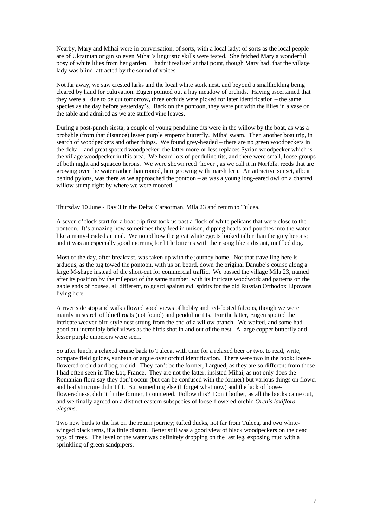Nearby, Mary and Mihai were in conversation, of sorts, with a local lady: of sorts as the local people are of Ukrainian origin so even Mihai's linguistic skills were tested. She fetched Mary a wonderful posy of white lilies from her garden. I hadn't realised at that point, though Mary had, that the village lady was blind, attracted by the sound of voices.

Not far away, we saw crested larks and the local white stork nest, and beyond a smallholding being cleared by hand for cultivation, Eugen pointed out a hay meadow of orchids. Having ascertained that they were all due to be cut tomorrow, three orchids were picked for later identification – the same species as the day before yesterday's. Back on the pontoon, they were put with the lilies in a vase on the table and admired as we ate stuffed vine leaves.

During a post-punch siesta, a couple of young penduline tits were in the willow by the boat, as was a probable (from that distance) lesser purple emperor butterfly. Mihai swam. Then another boat trip, in search of woodpeckers and other things. We found grey-headed – there are no green woodpeckers in the delta – and great spotted woodpecker; the latter more-or-less replaces Syrian woodpecker which is the village woodpecker in this area. We heard lots of penduline tits, and there were small, loose groups of both night and squacco herons. We were shown reed 'hover', as we call it in Norfolk, reeds that are growing over the water rather than rooted, here growing with marsh fern. An attractive sunset, albeit behind pylons, was there as we approached the pontoon – as was a young long-eared owl on a charred willow stump right by where we were moored.

#### Thursday 10 June - Day 3 in the Delta: Caraorman, Mila 23 and return to Tulcea.

A seven o'clock start for a boat trip first took us past a flock of white pelicans that were close to the pontoon. It's amazing how sometimes they feed in unison, dipping heads and pouches into the water like a many-headed animal. We noted how the great white egrets looked taller than the grey herons; and it was an especially good morning for little bitterns with their song like a distant, muffled dog.

Most of the day, after breakfast, was taken up with the journey home. Not that travelling here is arduous, as the tug towed the pontoon, with us on board, down the original Danube's course along a large M-shape instead of the short-cut for commercial traffic. We passed the village Mila 23, named after its position by the milepost of the same number, with its intricate woodwork and patterns on the gable ends of houses, all different, to guard against evil spirits for the old Russian Orthodox Lipovans living here.

A river side stop and walk allowed good views of hobby and red-footed falcons, though we were mainly in search of bluethroats (not found) and penduline tits. For the latter, Eugen spotted the intricate weaver-bird style nest strung from the end of a willow branch. We waited, and some had good but incredibly brief views as the birds shot in and out of the nest. A large copper butterfly and lesser purple emperors were seen.

So after lunch, a relaxed cruise back to Tulcea, with time for a relaxed beer or two, to read, write, compare field guides, sunbath or argue over orchid identification. There were two in the book: looseflowered orchid and bog orchid. They can't be the former, I argued, as they are so different from those I had often seen in The Lot, France. They are not the latter, insisted Mihai, as not only does the Romanian flora say they don't occur (but can be confused with the former) but various things on flower and leaf structure didn't fit. But something else (I forget what now) and the lack of loosefloweredness, didn't fit the former, I countered. Follow this? Don't bother, as all the books came out, and we finally agreed on a distinct eastern subspecies of loose-flowered orchid *Orchis laxiflora elegans*.

Two new birds to the list on the return journey; tufted ducks, not far from Tulcea, and two whitewinged black terns, if a little distant. Better still was a good view of black woodpeckers on the dead tops of trees. The level of the water was definitely dropping on the last leg, exposing mud with a sprinkling of green sandpipers.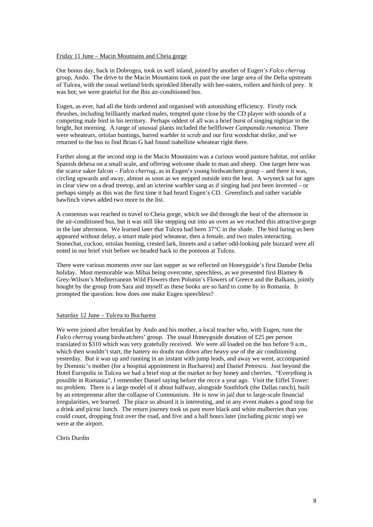#### Friday 11 June – Macin Mountains and Cheia gorge

Our bonus day, back in Dobrogea, took us well inland, joined by another of Eugen's *Falco cherrug* group, Ando. The drive to the Macin Mountains took us past the one large area of the Delta upstream of Tulcea, with the usual wetland birds sprinkled liberally with bee-eaters, rollers and birds of prey. It was hot; we were grateful for the Ibis air-conditioned bus.

Eugen, as ever, had all the birds ordered and organised with astonishing efficiency. Firstly rock thrushes, including brilliantly marked males, tempted quite close by the CD player with sounds of a competing male bird in his territory. Perhaps oddest of all was a brief burst of singing nightjar in the bright, hot morning. A range of unusual plants included the bellflower *Campanula romanica*. There were wheatears, ortolan buntings, barred warbler in scrub and our first woodchat shrike, and we returned to the bus to find Brian G had found isabelline wheatear right there.

Farther along at the second stop in the Macin Mountains was a curious wood pasture habitat, not unlike Spanish dehesa on a small scale, and offering welcome shade to man and sheep. One target here was the scarce saker falcon – *Falco cherrug*, as in Eugen's young birdwatchers group – and there it was, circling upwards and away, almost as soon as we stepped outside into the heat. A wryneck sat for ages in clear view on a dead treetop, and an icterine warbler sang as if singing had just been invented – or perhaps simply as this was the first time it had heard Eugen's CD. Greenfinch and rather variable hawfinch views added two more to the list.

A consensus was reached to travel to Cheia gorge, which we did through the heat of the afternoon in the air-conditioned bus, but it was still like stepping out into an oven as we reached this attractive gorge in the late afternoon. We learned later that Tulcea had been 37°C in the shade. The bird luring us here appeared without delay, a smart male pied wheatear, then a female, and two males interacting. Stonechat, cuckoo, ortolan bunting, crested lark, linnets and a rather odd-looking pale buzzard were all noted in our brief visit before we headed back to the pontoon at Tulcea.

There were various moments over our last supper as we reflected on Honeyguide's first Danube Delta holiday. Most memorable was Mihai being overcome, speechless, as we presented first Blamey & Grey-Wilson's Mediterranean Wild Flowers then Polunin's Flowers of Greece and the Balkans, jointly bought by the group from Sara and myself as these books are so hard to come by in Romania. It prompted the question: how does one make Eugen speechless?

#### Saturday 12 June – Tulcea to Bucharest

We were joined after breakfast by Ando and his mother, a local teacher who, with Eugen, runs the *Falco cherrug* young birdwatchers' group. The usual Honeyguide donation of £25 per person translated to \$310 which was very gratefully received. We were all loaded on the bus before 9 a.m., which then wouldn't start, the battery no doubt run down after heavy use of the air conditioning yesterday. But it was up and running in an instant with jump leads, and away we went, accompanied by Dominic's mother (for a hospital appointment in Bucharest) and Daniel Petrescu. Just beyond the Hotel Europolis in Tulcea we had a brief stop at the market to buy honey and cherries. "Everything is possible in Romania", I remember Daniel saying before the recce a year ago. Visit the Eiffel Tower: no problem. There is a large model of it about halfway, alongside Southfork (the Dallas ranch), built by an entrepreneur after the collapse of Communism. He is now in jail due to large-scale financial irregularities, we learned. The place so absurd it is interesting, and in any event makes a good stop for a drink and picnic lunch. The return journey took us past more black and white mulberries than you could count, dropping fruit over the road, and five and a half hours later (including picnic stop) we were at the airport.

Chris Durdin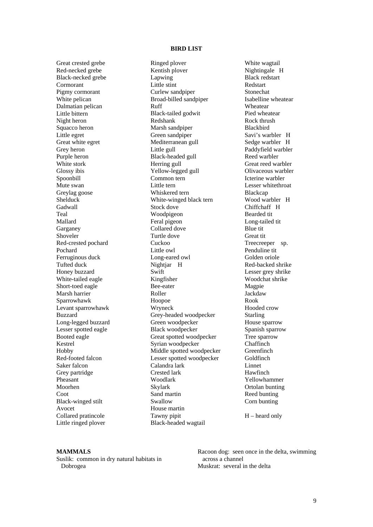#### **BIRD LIST**

Great crested grebe Red-necked grebe Black-necked grebe Cormorant Pigmy cormorant White pelican Dalmatian pelican Little bittern Night heron Squacco heron Little egret Great white egret Grey heron Purple heron White stork Glossy ibis Spoonbill Mute swan Greylag goose Shelduck Gadwall Teal Mallard Garganey Shoveler Red-crested pochard Pochard Ferruginous duck Tufted duck Honey buzzard White-tailed eagle Short-toed eagle Marsh harrier Sparrowhawk Levant sparrowhawk Buzzard Long-legged buzzard Lesser spotted eagle Booted eagle Kestrel Hobby Red-footed falcon Saker falcon Grey partridge Pheasant Moorhen Coot Black-winged stilt Avocet Collared pratincole Little ringed plover

Ringed plover Kentish plover Lapwing Little stint Curlew sandpiper Broad-billed sandpiper Ruff Black-tailed godwit Redshank Marsh sandpiper Green sandpiper Mediterranean gull Little gull Black-headed gull Herring gull Yellow-legged gull Common tern Little tern Whiskered tern White-winged black tern Stock dove Woodpigeon Feral pigeon Collared dove Turtle dove Cuckoo Little owl Long-eared owl Nightiar H Swift Kingfisher Bee-eater Roller Hoopoe Wryneck Grey-headed woodpecker Green woodpecker Black woodpecker Great spotted woodpecker Syrian woodpecker Middle spotted woodpecker Lesser spotted woodpecker Calandra lark Crested lark Woodlark Skylark Sand martin Swallow House martin Tawny pipit Black-headed wagtail

White wagtail Nightingale H Black redstart Redstart Stonechat Isabelline wheatear Wheatear Pied wheatear Rock thrush Blackbird Savi's warbler H Sedge warbler H Paddyfield warbler Reed warbler Great reed warbler Olivaceous warbler Icterine warbler Lesser whitethroat Blackcap Wood warbler H Chiffchaff H Bearded tit Long-tailed tit Blue tit Great tit Treecreeper sp. Penduline tit Golden oriole Red-backed shrike Lesser grey shrike Woodchat shrike Magpie Jackdaw Rook Hooded crow Starling House sparrow Spanish sparrow Tree sparrow Chaffinch Greenfinch Goldfinch Linnet Hawfinch Yellowhammer Ortolan bunting Reed bunting Corn bunting

H – heard only

#### **MAMMALS**

Suslik: common in dry natural habitats in Dobrogea

Racoon dog: seen once in the delta, swimming across a channel Muskrat: several in the delta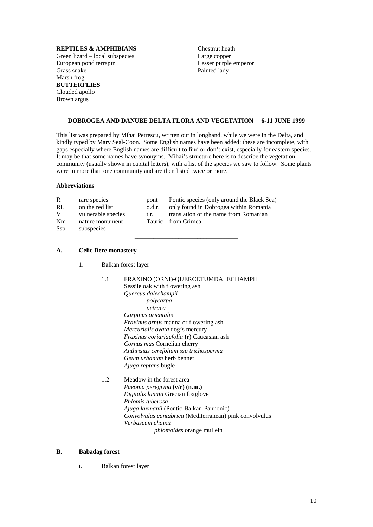# **REPTILES & AMPHIBIANS**

Green lizard – local subspecies European pond terrapin Grass snake Marsh frog **BUTTERFLIES**  Clouded apollo Brown argus

Chestnut heath Large copper Lesser purple emperor Painted lady

# **DOBROGEA AND DANUBE DELTA FLORA AND VEGETATION 6-11 JUNE 1999**

This list was prepared by Mihai Petrescu, written out in longhand, while we were in the Delta, and kindly typed by Mary Seal-Coon. Some English names have been added; these are incomplete, with gaps especially where English names are difficult to find or don't exist, especially for eastern species. It may be that some names have synonyms. Mihai's structure here is to describe the vegetation community (usually shown in capital letters), with a list of the species we saw to follow. Some plants were in more than one community and are then listed twice or more.

\_\_\_\_\_\_\_\_\_\_\_\_\_\_\_\_\_\_\_\_\_\_\_\_\_\_\_\_\_\_\_\_\_

#### **Abbreviations**

| R<br>RL<br>V | rare species<br>on the red list                     | pont<br>o.d.r. | Pontic species (only around the Black Sea)<br>only found in Dobrogea within Romania |
|--------------|-----------------------------------------------------|----------------|-------------------------------------------------------------------------------------|
| Nm<br>Ssp    | vulnerable species<br>nature monument<br>subspecies | t.r.           | translation of the name from Romanian<br>Tauric from Crimea                         |

# **A. Celic Dere monastery**

1. Balkan forest layer

| 1.1 | FRAXINO (ORNI)-QUERCETUMDALECHAMPII       |
|-----|-------------------------------------------|
|     | Sessile oak with flowering ash            |
|     | Quercus dalechampii                       |
|     | polycarpa                                 |
|     | petraea                                   |
|     | Carpinus orientalis                       |
|     | Fraxinus ornus manna or flowering ash     |
|     | Mercurialis ovata dog's mercury           |
|     | Fraxinus coriariaefolia (r) Caucasian ash |
|     | Cornus mas Cornelian cherry               |
|     | Anthrisius cerefolium ssp trichosperma    |
|     | <i>Geum urbanum</i> herb bennet           |
|     | Ajuga reptans bugle                       |
| 1.2 | Meadow in the forest area                 |
|     | <i>Paeonia peregrina</i> (v/r) (n.m.)     |
|     | Digitalis langta Grecian foxolove         |

 *Digitalis lanata* Grecian foxglove *Phlomis tuberosa Ajuga laxmanii* (Pontic-Balkan-Pannonic) *Convolvulus cantabrica* (Mediterranean) pink convolvulus *Verbascum chaixii phlomoides* orange mullein

## **B. Babadag forest**

i. Balkan forest layer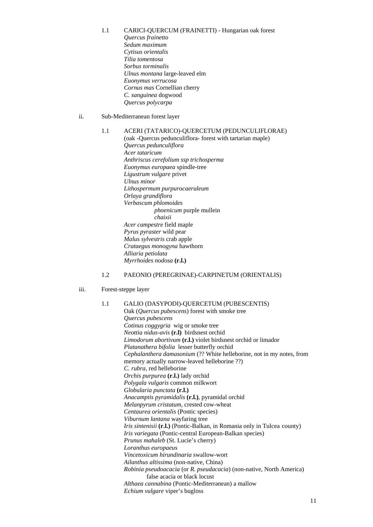- 1.1 CARICI-QUERCUM (FRAINETTI) Hungarian oak forest *Quercus frainetto Sedum maximum Cytisus orientalis Tilia tomentosa Sorbus torminalis Ulnus montana* large-leaved elm  *Euonymus verrucosa Cornus mas* Cornellian cherry *C. sanguinea* dogwood
	- *Quercus polycarpa*
- ii. Sub-Mediterranean forest layer

# 1.1 ACERI (TATARICO)-QUERCETUM (PEDUNCULIFLORAE)

 (oak -Quercus pedunculiflora- forest with tartarian maple) *Quercus pedunculiflora Acer tataricum Anthriscus cerefolium ssp trichosperma Euonymus europaea* spindle-tree *Ligustrum vulgare* privet *Ulnus minor Lithospermum purpurocaeruleum Orlaya grandiflora Verbascum phlomoides phoenicum* purple mullein *chaixii Acer campestre* field maple *Pyrus pyraster* wild pear *Malus sylvestris* crab apple *Crataegus monogyna* hawthorn *Alliaria petiolata Myrrhoides nodosa* **(r.l.)** 

# 1.2 PAEONIO (PEREGRINAE)-CARPINETUM (ORIENTALIS)

#### iii. Forest-steppe layer

## 1.1 GALIO (DASYPODI)-QUERCETUM (PUBESCENTIS)

 Oak (*Quercus pubescens*) forest with smoke tree *Quercus pubescens Cotinus coggygria* wig or smoke tree *Neottia nidus-avis* **(r.l)** birdsnest orchid *Limodorum abortivum* **(r.l.)** violet birdsnest orchid or limador *Platanathera bifolia* lesser butterfly orchid *Cephalanthera damasonium* (?? White helleborine, not in my notes, from memory actually narrow-leaved helleborine ??) *C. rubra*, red helleborine *Orchis purpurea* **(r.l.)** lady orchid *Polygala vulgaris* common milkwort *Globularia punctata* **(r.l.)** *Anacamptis pyramidalis* **(r.l.)**, pyramidal orchid *Melanpyrum cristatum*, crested cow-wheat *Centaurea orientalis* (Pontic species) *Viburnum lantana* wayfaring tree *Iris sintenisii* **(r.l.)** (Pontic-Balkan, in Romania only in Tulcea county) *Iris variegata* (Pontic-central European-Balkan species) *Prunus mahaleb* (St. Lucie's cherry) *Loranthus europaeus Vincetoxicum hirundinaria* swallow-wort *Ailanthus altissima* (non-native, China) *Robinia pseudoacacia* (or *R. pseudacacia*) (non-native, North America) false acacia or black locust *Althaea cannabina* (Pontic-Mediterranean) a mallow *Echium vulgare* viper's bugloss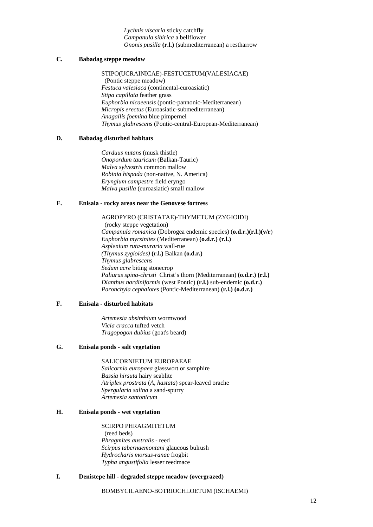*Lychnis viscaria* sticky catchfly *Campanula sibirica* a bellflower *Ononis pusilla* **(r.l.)** (submediterranean) a restharrow

# **C. Babadag steppe meadow**

 STIPO(UCRAINICAE)-FESTUCETUM(VALESIACAE) (Pontic steppe meadow) *Festuca valesiaca* (continental-euroasiatic) *Stipa capillata* feather grass *Euphorbia nicaeensis* (pontic-pannonic-Mediterranean) *Micropis erectus* (Euroasiatic-submediterranean) *Anagallis foemina* blue pimpernel *Thymus glabrescens* (Pontic-central-European-Mediterranean)

## **D. Babadag disturbed habitats**

 *Carduus nutans* (musk thistle) *Onopordum tauricum* (Balkan-Tauric) *Malva sylvestris* common mallow *Robinia hispada* (non-native, N. America) *Eryngium campestre* field eryngo *Malva pusilla* (euroasiatic) small mallow

# **E. Enisala - rocky areas near the Genovese fortress**

 AGROPYRO (CRISTATAE)-THYMETUM (ZYGIOIDI) (rocky steppe vegetation) *Campanula romanica* (Dobrogea endemic species) (**o.d.r.)(r.l.)(v/r**) *Euphorbia myrsinites* (Mediterranean) **(o.d.r.) (r.l.)** *Asplenium ruta-muraria* wall-rue *(Thymus zygioides)* **(r.l.)** Balkan **(o.d.r.)** *Thymus glabrescens Sedum acre* biting stonecrop *Paliurus spina-christi* Christ's thorn (Mediterranean) **(o.d.r.) (r.l.)** *Dianthus nardiniformis* (west Pontic) **(r.l.)** sub-endemic **(o.d.r.)** *Paronchyia cephalotes* (Pontic-Mediterranean) **(r.l.) (o.d.r.)**

#### **F. Enisala - disturbed habitats**

*Artemesia absinthium* wormwood *Vicia cracca* tufted vetch *Tragopogon dubius* (goat's beard)

# **G. Enisala ponds - salt vegetation**

SALICORNIETUM EUROPAEAE *Salicornia europaea* glasswort or samphire *Bassia hirsuta* hairy seablite *Atriplex prostrata* (*A, hastata*) spear-leaved orache *Spergularia salina* a sand-spurry *Artemesia santonicum* 

# **H. Enisala ponds - wet vegetation**

SCIRPO PHRAGMITETUM (reed beds) *Phragmites australis* - reed *Scirpus tabernaemontani* glaucous bulrush *Hydrocharis morsus-ranae* frogbit *Typha angustifolia* lesser reedmace

# **I. Denistepe hill - degraded steppe meadow (overgrazed)**

#### BOMBYCILAENO-BOTRIOCHLOETUM (ISCHAEMI)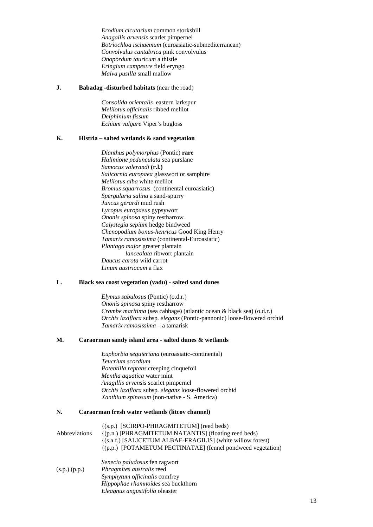*Erodium cicutarium* common storksbill  *Anagallis arvensis* scarlet pimpernel  *Botriochloa ischaemum* (euroasiatic-submediterranean) *Convolvulus cantabrica* pink convolvulus  *Onopordum tauricum* a thistle  *Eringium campestre* field eryngo *Malva pusilla* small mallow

#### **J. Babadag -disturbed habitats** (near the road)

 *Consolida orientalis* eastern larkspur  *Melilotus officinalis* ribbed melilot  *Delphinium fissum Echium vulgare* Viper's bugloss

## **K. Histria – salted wetlands & sand vegetation**

 *Dianthus polymorphus* (Pontic) **rare** *Halimione pedunculata* sea purslane *Samocus valerandi* **(r.l.)** *Salicornia europaea* glasswort or samphire *Melilotus alba* white melilot *Bromus squarrosus* (continental euroasiatic)  *Spergularia salina* a sand-spurry *Juncus gerardi* mud rush *Lycopus europaeus* gypsywort *Ononis spinosa* spiny restharrow  *Calystegia sepium* hedge bindweed  *Chenopodium bonus-henricus* Good King Henry *Tamarix ramosissima* (continental-Euroasiatic) *Plantago major* greater plantain  *lanceolata* ribwort plantain *Daucus carota* wild carrot *Linum austriacum* a flax

#### **L. Black sea coast vegetation (vadu) - salted sand dunes**

*Elymus sabulosus* (Pontic) (o.d.r.) *Ononis spinosa* spiny restharrow *Crambe maritima* (sea cabbage) (atlantic ocean & black sea) (o.d.r.) *Orchis laxiflora* subsp*. elegans* (Pontic-pannonic) loose-flowered orchid *Tamarix ramosissima* – a tamarisk

#### **M. Caraorman sandy island area** - **salted dunes & wetlands**

*Euphorbia seguieriana* (euroasiatic-continental) *Teucrium scordium Potentilla reptans* creeping cinquefoil *Mentha aquatica* water mint *Anagillis arvensis* scarlet pimpernel *Orchis laxiflora* subsp*. elegans* loose-flowered orchid *Xanthium spinosum* (non-native - S. America)

# **N. Caraorman fresh water wetlands (litcov channel)**

|                             | {(s.p.) [SCIRPO-PHRAGMITETUM] (reed beds)                   |
|-----------------------------|-------------------------------------------------------------|
| <i><b>Abbreviations</b></i> | {(p.n.) [PHRAGMITETUM NATANTIS] (floating reed beds)        |
|                             | {(s.a.f.) [SALICETUM ALBAE-FRAGILIS] (white willow forest)  |
|                             | {(p.p.) [POTAMETUM PECTINATAE] (fennel pondweed vegetation) |
|                             | Senecio paludosus fen ragwort                               |
| (s.p.) (p.p.)               | Phragmites australis reed                                   |
|                             | Symphytum officinalis comfrey                               |
|                             | Hippophae rhamnoides sea buckthorn                          |

*Eleagnus angustifolia* oleaster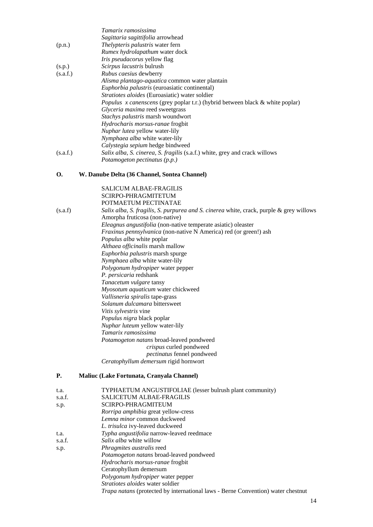|          | Tamarix ramosissima                                                                  |
|----------|--------------------------------------------------------------------------------------|
|          | Sagittaria sagittifolia arrowhead                                                    |
| (p.n.)   | <i>Thelypteris palustris</i> water fern                                              |
|          | Rumex hydrolapathum water dock                                                       |
|          | <i>Iris pseudacorus</i> yellow flag                                                  |
| (s.p.)   | <i>Scirpus lacustris</i> bulrush                                                     |
| (s.a.f.) | <i>Rubus caesius</i> dewberry                                                        |
|          | Alisma plantago-aquatica common water plantain                                       |
|          | Euphorbia palustris (euroasiatic continental)                                        |
|          | <i>Stratiotes aloides</i> (Euroasiatic) water soldier                                |
|          | <i>Populus x canenscens</i> (grey poplar t.r.) (hybrid between black & white poplar) |
|          | Glyceria maxima reed sweetgrass                                                      |
|          | <i>Stachys palustris</i> marsh woundwort                                             |
|          | <i>Hydrocharis morsus-ranae</i> frogbit                                              |
|          | <i>Nuphar lutea</i> yellow water-lily                                                |
|          | <i>Nymphaea alba</i> white water-lily                                                |
|          | Calystegia sepium hedge bindweed                                                     |
| (s.a.f.) | Salix alba, S. cinerea, S. fragilis (s.a.f.) white, grey and crack willows           |
|          | Potamogeton pectinatus (p.p.)                                                        |

# **O. W. Danube Delta (36 Channel, Sontea Channel)**

| (s.a.f)   | <b>SALICUM ALBAE-FRAGILIS</b><br><b>SCIRPO-PHRAGMITETUM</b><br>POTMAETUM PECTINATAE<br>Salix alba, S. fragilis, S. purpurea and S. cinerea white, crack, purple & grey willows<br>Amorpha fruticosa (non-native) |
|-----------|------------------------------------------------------------------------------------------------------------------------------------------------------------------------------------------------------------------|
|           | Eleagnus angustifolia (non-native temperate asiatic) oleaster                                                                                                                                                    |
|           | <i>Fraxinus pennsylvanica</i> (non-native N America) red (or green!) ash                                                                                                                                         |
|           | Populus alba white poplar                                                                                                                                                                                        |
|           | Althaea officinalis marsh mallow                                                                                                                                                                                 |
|           | Euphorbia palustris marsh spurge                                                                                                                                                                                 |
|           | Nymphaea alba white water-lily                                                                                                                                                                                   |
|           | Polygonum hydropiper water pepper                                                                                                                                                                                |
|           | P. persicaria redshank                                                                                                                                                                                           |
|           | Tanacetum vulgare tansy                                                                                                                                                                                          |
|           | Myosotum aquaticum water chickweed                                                                                                                                                                               |
|           | Vallisneria spiralis tape-grass                                                                                                                                                                                  |
|           | Solanum dulcamara bittersweet                                                                                                                                                                                    |
|           | Vitis sylvestris vine                                                                                                                                                                                            |
|           | Populus nigra black poplar                                                                                                                                                                                       |
|           | Nuphar luteum yellow water-lily                                                                                                                                                                                  |
|           | Tamarix ramosissima                                                                                                                                                                                              |
|           | Potamogeton natans broad-leaved pondweed<br>crispus curled pondweed                                                                                                                                              |
|           | pectinatus fennel pondweed                                                                                                                                                                                       |
|           | Ceratophyllum demersum rigid hornwort                                                                                                                                                                            |
| <b>P.</b> | Maliuc (Lake Fortunata, Cranyala Channel)                                                                                                                                                                        |

# t.a. TYPHAETUM ANGUSTIFOLIAE (lesser bulrush plant community) s.a.f. SALICETUM ALBAE-FRAGILIS s.p. SCIRPO-PHRAGMITEUM

|        | <i>Rorripa amphibia</i> great yellow-cress                                              |
|--------|-----------------------------------------------------------------------------------------|
|        | Lemna minor common duckweed                                                             |
|        | L. trisulca ivy-leaved duckweed                                                         |
| t.a.   | Typha angustifolia narrow-leaved reedmace                                               |
| s.a.f. | <i>Salix alba</i> white willow                                                          |
| s.p.   | <i>Phragmites australis</i> reed                                                        |
|        | <i>Potamogeton natans</i> broad-leaved pondweed                                         |
|        | Hydrocharis morsus-ranae frogbit                                                        |
|        | Ceratophyllum demersum                                                                  |
|        | Polygonum hydropiper water pepper                                                       |
|        | <i>Stratiotes aloides</i> water soldier                                                 |
|        | <i>Trapa natans</i> (protected by international laws - Berne Convention) water chestnut |
|        |                                                                                         |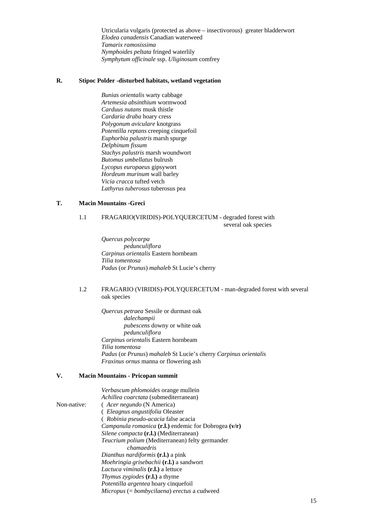Utricularia vulgaris (protected as above – insectivorous) greater bladderwort *Elodea canadensis* Canadian waterweed *Tamarix ramosissima Nymphoides peltata* fringed waterlily *Symphytum officinale* ssp. *Uliginosum* comfrey

#### **R. Stipoc Polder -disturbed habitats, wetland vegetation**

 *Bunias orientalis* warty cabbage  *Artemesia absinthium* wormwood  *Carduus nutans* musk thistle  *Cardaria draba* hoary cress  *Polygonum aviculare* knotgrass  *Potentilla reptans* creeping cinquefoil  *Euphorbia palustris* marsh spurge  *Delphinum fissum Stachys palustris* marsh woundwort  *Butomus umbellatus* bulrush  *Lycopus europaeus* gipsywort  *Hordeum murinum* wall barley  *Vicia cracca* tufted vetch  *Lathyrus tuberosus* tuberosus pea

# **T. Macin Mountains -Greci**

#### 1.1 FRAGARIO(VIRIDIS)-POLYQUERCETUM - degraded forest with several oak species

 *Quercus polycarpa pedunculiflora Carpinus orientalis* Eastern hornbeam  *Tilia tomentosa Padus* (or *Prunus*) *mahaleb* St Lucie's cherry

# 1.2 FRAGARIO (VIRIDIS)-POLYQUERCETUM - man-degraded forest with several oak species

 *Quercus petraea* Sessile or durmast oak  *dalechampii pubescens* downy or white oak  *pedunculiflora Carpinus orientalis* Eastern hornbeam  *Tilia tomentosa Padus* (or *Prunus*) *mahaleb* St Lucie's cherry *Carpinus orientalis Fraxinus ornus* manna or flowering ash

# **V. Macin Mountains - Pricopan summit**

|             | Verbascum phlomoides orange mullein                           |
|-------------|---------------------------------------------------------------|
|             | Achillea coarctata (submediterranean)                         |
| Non-native: | (Acer negundo (N America)                                     |
|             | ( <i>Eleagnus angustifolia</i> Oleaster                       |
|             | (Robinia pseudo-acacia false acacia                           |
|             | <i>Campanula romanica</i> (r.l.) endemic for Dobrogea $(v/r)$ |
|             | Silene compacta (r.l.) (Mediterranean)                        |
|             | Teucrium polium (Mediterranean) felty germander               |
|             | chamaedris                                                    |
|             | <i>Dianthus nardiformis</i> (r.l.) a pink                     |
|             | Moehringia grisebachii (r.l.) a sandwort                      |
|             | <i>Lactuca viminalis</i> (r.l.) a lettuce                     |
|             | <i>Thymus zygiodes</i> (r.l.) a thyme                         |
|             | <i>Potentilla argentea</i> hoary cinquefoil                   |
|             | $Micropus (= bombycilaena)$ erectus a cudweed                 |